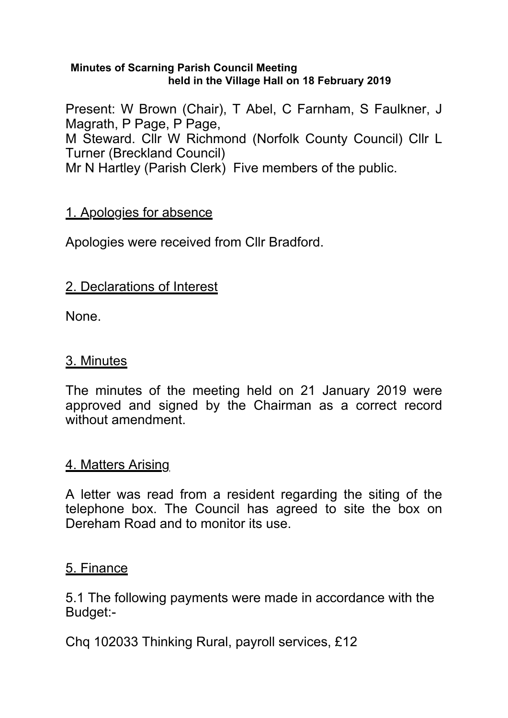#### **Minutes of Scarning Parish Council Meeting held in the Village Hall on 18 February 2019**

Present: W Brown (Chair), T Abel, C Farnham, S Faulkner, J Magrath, P Page, P Page, M Steward. Cllr W Richmond (Norfolk County Council) Cllr L Turner (Breckland Council) Mr N Hartley (Parish Clerk) Five members of the public.

### 1. Apologies for absence

Apologies were received from Cllr Bradford.

### 2. Declarations of Interest

None.

#### 3. Minutes

The minutes of the meeting held on 21 January 2019 were approved and signed by the Chairman as a correct record without amendment.

### 4. Matters Arising

A letter was read from a resident regarding the siting of the telephone box. The Council has agreed to site the box on Dereham Road and to monitor its use.

### 5. Finance

5.1 The following payments were made in accordance with the Budget:-

Chq 102033 Thinking Rural, payroll services, £12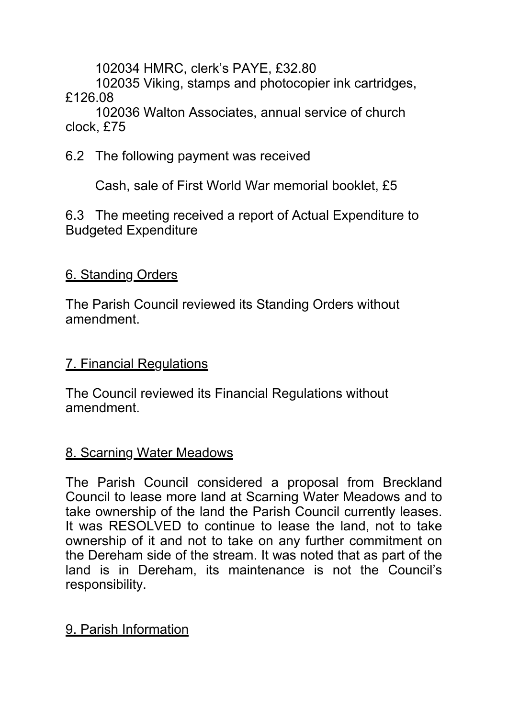102034 HMRC, clerk's PAYE, £32.80

 102035 Viking, stamps and photocopier ink cartridges, £126.08

 102036 Walton Associates, annual service of church clock, £75

6.2 The following payment was received

Cash, sale of First World War memorial booklet, £5

6.3 The meeting received a report of Actual Expenditure to Budgeted Expenditure

# 6. Standing Orders

The Parish Council reviewed its Standing Orders without amendment.

# 7. Financial Regulations

The Council reviewed its Financial Regulations without amendment.

## 8. Scarning Water Meadows

The Parish Council considered a proposal from Breckland Council to lease more land at Scarning Water Meadows and to take ownership of the land the Parish Council currently leases. It was RESOLVED to continue to lease the land, not to take ownership of it and not to take on any further commitment on the Dereham side of the stream. It was noted that as part of the land is in Dereham, its maintenance is not the Council's responsibility.

# 9. Parish Information